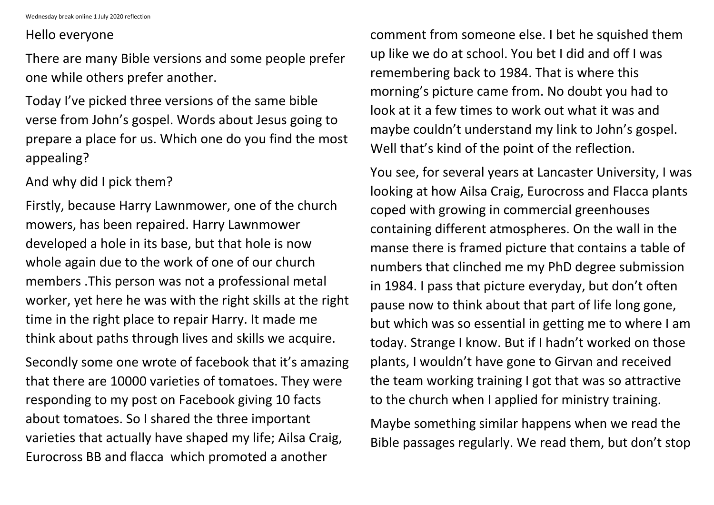Wednesday break online 1 July 2020 reflection

## Hello everyone

There are many Bible versions and some people prefer one while others prefer another.

Today I've picked three versions of the same bible verse from John's gospel. Words about Jesus going to prepare a place for us. Which one do you find the most appealing?

And why did I pick them?

Firstly, because Harry Lawnmower, one of the church mowers, has been repaired. Harry Lawnmower developed a hole in its base, but that hole is now whole again due to the work of one of our church members .This person was not a professional metal worker, yet here he was with the right skills at the right time in the right place to repair Harry. It made me think about paths through lives and skills we acquire.

Secondly some one wrote of facebook that it's amazing that there are 10000 varieties of tomatoes. They were responding to my post on Facebook giving 10 facts about tomatoes. So I shared the three important varieties that actually have shaped my life; Ailsa Craig, Eurocross BB and flacca which promoted a another

comment from someone else. I bet he squished them up like we do at school. You bet I did and off I was remembering back to 1984. That is where this morning's picture came from. No doubt you had to look at it a few times to work out what it was and maybe couldn't understand my link to John's gospel. Well that's kind of the point of the reflection.

You see, for several years at Lancaster University, I was looking at how Ailsa Craig, Eurocross and Flacca plants coped with growing in commercial greenhouses containing different atmospheres. On the wall in the manse there is framed picture that contains a table of numbers that clinched me my PhD degree submission in 1984. I pass that picture everyday, but don't often pause now to think about that part of life long gone, but which was so essential in getting me to where I am today. Strange I know. But if I hadn't worked on those plants, I wouldn't have gone to Girvan and received the team working training I got that was so attractive to the church when I applied for ministry training.

Maybe something similar happens when we read the Bible passages regularly. We read them, but don't stop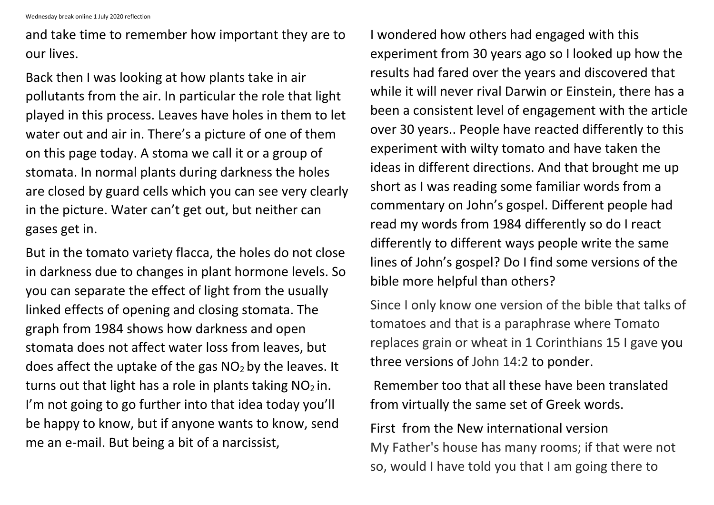and take time to remember how important they are to our lives.

Back then I was looking at how plants take in air pollutants from the air. In particular the role that light played in this process. Leaves have holes in them to let water out and air in. There's a picture of one of them on this page today. A stoma we call it or a group of stomata. In normal plants during darkness the holes are closed by guard cells which you can see very clearly in the picture. Water can't get out, but neither can gases get in.

But in the tomato variety flacca, the holes do not close in darkness due to changes in plant hormone levels. So you can separate the effect of light from the usually linked effects of opening and closing stomata. The graph from 1984 shows how darkness and open stomata does not affect water loss from leaves, but does affect the uptake of the gas  $NO<sub>2</sub>$  by the leaves. It turns out that light has a role in plants taking  $NO<sub>2</sub>$  in. I'm not going to go further into that idea today you'll be happy to know, but if anyone wants to know, send me an e-mail. But being a bit of a narcissist,

I wondered how others had engaged with this experiment from 30 years ago so I looked up how the results had fared over the years and discovered that while it will never rival Darwin or Einstein, there has a been a consistent level of engagement with the article over 30 years.. People have reacted differently to this experiment with wilty tomato and have taken the ideas in different directions. And that brought me up short as I was reading some familiar words from a commentary on John's gospel. Different people had read my words from 1984 differently so do I react differently to different ways people write the same lines of John's gospel? Do I find some versions of the bible more helpful than others?

Since I only know one version of the bible that talks of tomatoes and that is a paraphrase where Tomato replaces grain or wheat in 1 Corinthians 15 I gave you three versions of John 14:2 to ponder.

Remember too that all these have been translated from virtually the same set of Greek words.

First from the New international version My Father's house has many rooms; if that were not so, would I have told you that I am going there to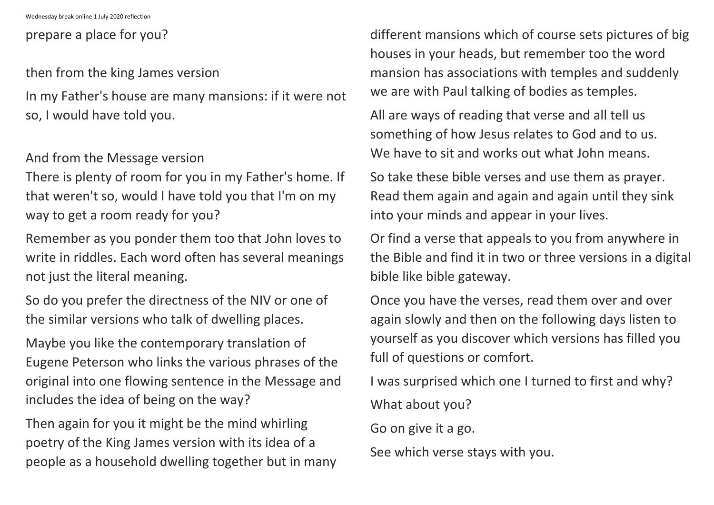## prepare a place for you?

then from the king James version

In my Father's house are many mansions: if it were not so, I would have told you.

And from the Message version

There is plenty of room for you in my Father's home. If that weren't so, would I have told you that I'm on my way to get a room ready for you?

Remember as you ponder them too that John loves to write in riddles. Each word often has several meanings not just the literal meaning.

So do you prefer the directness of the NIV or one of the similar versions who talk of dwelling places.

All are ways of reading that verse and all tell us something of how Jesus relates to God and to us. We have to sit and works out what John means.

Maybe you like the contemporary translation of Eugene Peterson who links the various phrases of the original into one flowing sentence in the Message and includes the idea of being on the way?

Then again for you it might be the mind whirling poetry of the King James version with its idea of a people as a household dwelling together but in many different mansions which of course sets pictures of big houses in your heads, but remember too the word mansion has associations with temples and suddenly we are with Paul talking of bodies as temples.

So take these bible verses and use them as prayer. Read them again and again and again until they sink into your minds and appear in your lives.

Or find a verse that appeals to you from anywhere in the Bible and find it in two or three versions in a digital bible like bible gateway.

Once you have the verses, read them over and over again slowly and then on the following days listen to yourself as you discover which versions has filled you full of questions or comfort.

I was surprised which one I turned to first and why?

What about you?

Go on give it a go.

See which verse stays with you.